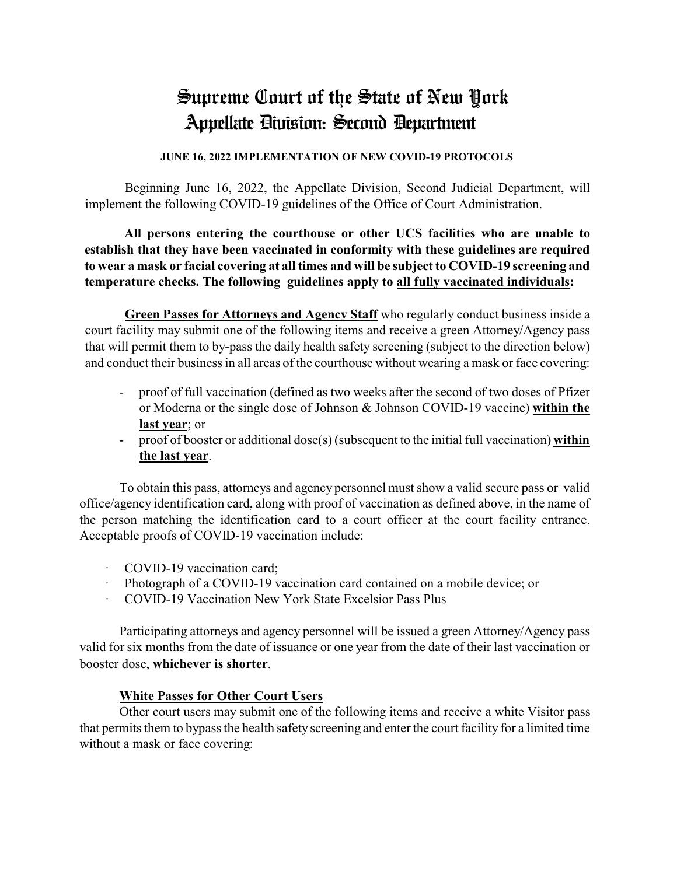# Supreme Court of the State of New York Appellate Division: Second Department

#### **JUNE 16, 2022 IMPLEMENTATION OF NEW COVID-19 PROTOCOLS**

Beginning June 16, 2022, the Appellate Division, Second Judicial Department, will implement the following COVID-19 guidelines of the Office of Court Administration.

**All persons entering the courthouse or other UCS facilities who are unable to establish that they have been vaccinated in conformity with these guidelines are required to wear a mask or facial covering at all times and will be subject to COVID-19 screening and temperature checks. The following guidelines apply to all fully vaccinated individuals:**

**Green Passes for Attorneys and Agency Staff** who regularly conduct business inside a court facility may submit one of the following items and receive a green Attorney/Agency pass that will permit them to by-pass the daily health safety screening (subject to the direction below) and conduct their business in all areas of the courthouse without wearing a mask or face covering:

- proof of full vaccination (defined as two weeks after the second of two doses of Pfizer or Moderna or the single dose of Johnson & Johnson COVID-19 vaccine) **within the last year**; or
- proof of booster or additional dose(s) (subsequent to the initial full vaccination) **within the last year**.

To obtain this pass, attorneys and agency personnel must show a valid secure pass or valid office/agency identification card, along with proof of vaccination as defined above, in the name of the person matching the identification card to a court officer at the court facility entrance. Acceptable proofs of COVID-19 vaccination include:

- · COVID-19 vaccination card;
- Photograph of a COVID-19 vaccination card contained on a mobile device; or
- · COVID-19 Vaccination New York State Excelsior Pass Plus

Participating attorneys and agency personnel will be issued a green Attorney/Agency pass valid for six months from the date of issuance or one year from the date of their last vaccination or booster dose, **whichever is shorter**.

#### **White Passes for Other Court Users**

Other court users may submit one of the following items and receive a white Visitor pass that permits them to bypass the health safety screening and enter the court facility for a limited time without a mask or face covering: